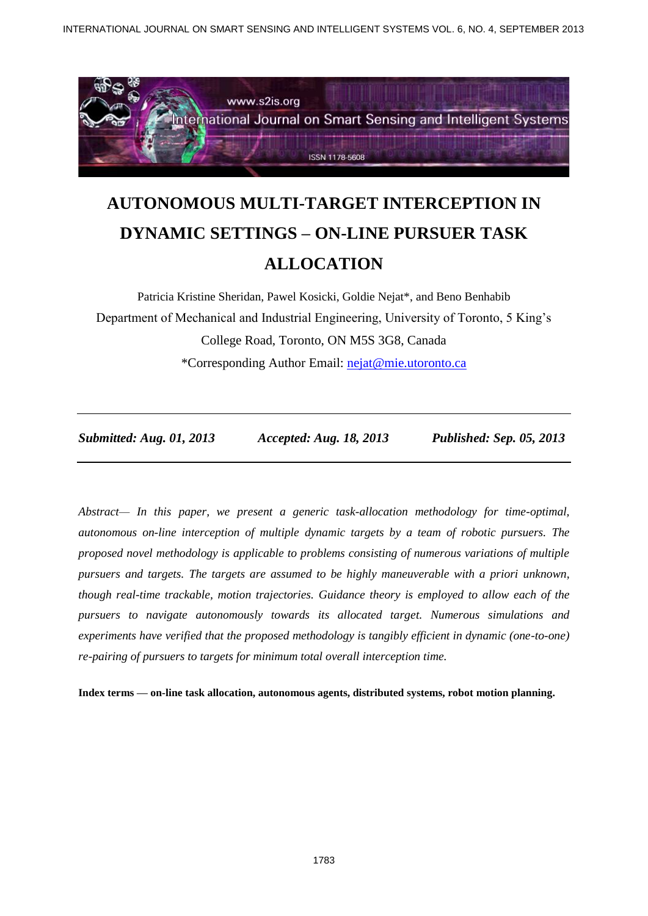

# **AUTONOMOUS MULTI-TARGET INTERCEPTION IN DYNAMIC SETTINGS – ON-LINE PURSUER TASK ALLOCATION**

Patricia Kristine Sheridan, Pawel Kosicki, Goldie Nejat\*, and Beno Benhabib Department of Mechanical and Industrial Engineering, University of Toronto, 5 King's College Road, Toronto, ON M5S 3G8, Canada \*Corresponding Author Email: [nejat@mie.utoronto.ca](mailto:nejat@mie.utoronto.ca)

*Submitted: Aug. 01, 2013 Accepted: Aug. 18, 2013 Published: Sep. 05, 2013*

*Abstract— In this paper, we present a generic task-allocation methodology for time-optimal, autonomous on-line interception of multiple dynamic targets by a team of robotic pursuers. The proposed novel methodology is applicable to problems consisting of numerous variations of multiple pursuers and targets. The targets are assumed to be highly maneuverable with a priori unknown, though real-time trackable, motion trajectories. Guidance theory is employed to allow each of the pursuers to navigate autonomously towards its allocated target. Numerous simulations and experiments have verified that the proposed methodology is tangibly efficient in dynamic (one-to-one) re-pairing of pursuers to targets for minimum total overall interception time.*

**Index terms — on-line task allocation, autonomous agents, distributed systems, robot motion planning.**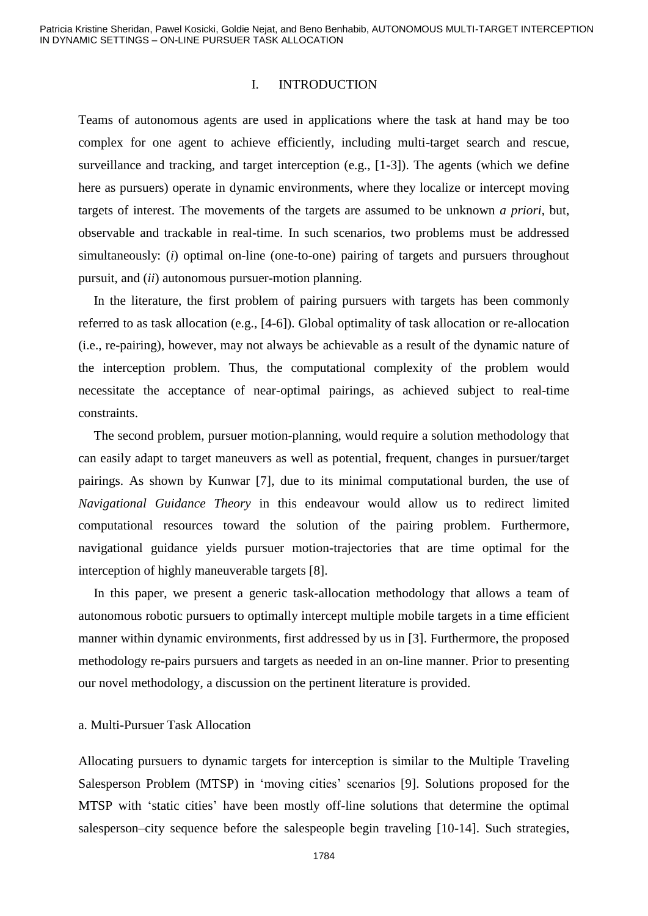#### I. INTRODUCTION

Teams of autonomous agents are used in applications where the task at hand may be too complex for one agent to achieve efficiently, including multi-target search and rescue, surveillance and tracking, and target interception (e.g., [1-3]). The agents (which we define here as pursuers) operate in dynamic environments, where they localize or intercept moving targets of interest. The movements of the targets are assumed to be unknown *a priori*, but, observable and trackable in real-time. In such scenarios, two problems must be addressed simultaneously: (*i*) optimal on-line (one-to-one) pairing of targets and pursuers throughout pursuit, and (*ii*) autonomous pursuer-motion planning.

In the literature, the first problem of pairing pursuers with targets has been commonly referred to as task allocation (e.g., [4-6]). Global optimality of task allocation or re-allocation (i.e., re-pairing), however, may not always be achievable as a result of the dynamic nature of the interception problem. Thus, the computational complexity of the problem would necessitate the acceptance of near-optimal pairings, as achieved subject to real-time constraints.

The second problem, pursuer motion-planning, would require a solution methodology that can easily adapt to target maneuvers as well as potential, frequent, changes in pursuer/target pairings. As shown by Kunwar [7], due to its minimal computational burden, the use of *Navigational Guidance Theory* in this endeavour would allow us to redirect limited computational resources toward the solution of the pairing problem. Furthermore, navigational guidance yields pursuer motion-trajectories that are time optimal for the interception of highly maneuverable targets [8].

In this paper, we present a generic task-allocation methodology that allows a team of autonomous robotic pursuers to optimally intercept multiple mobile targets in a time efficient manner within dynamic environments, first addressed by us in [3]. Furthermore, the proposed methodology re-pairs pursuers and targets as needed in an on-line manner. Prior to presenting our novel methodology, a discussion on the pertinent literature is provided.

## a. Multi-Pursuer Task Allocation

Allocating pursuers to dynamic targets for interception is similar to the Multiple Traveling Salesperson Problem (MTSP) in 'moving cities' scenarios [9]. Solutions proposed for the MTSP with 'static cities' have been mostly off-line solutions that determine the optimal salesperson–city sequence before the salespeople begin traveling [10-14]. Such strategies,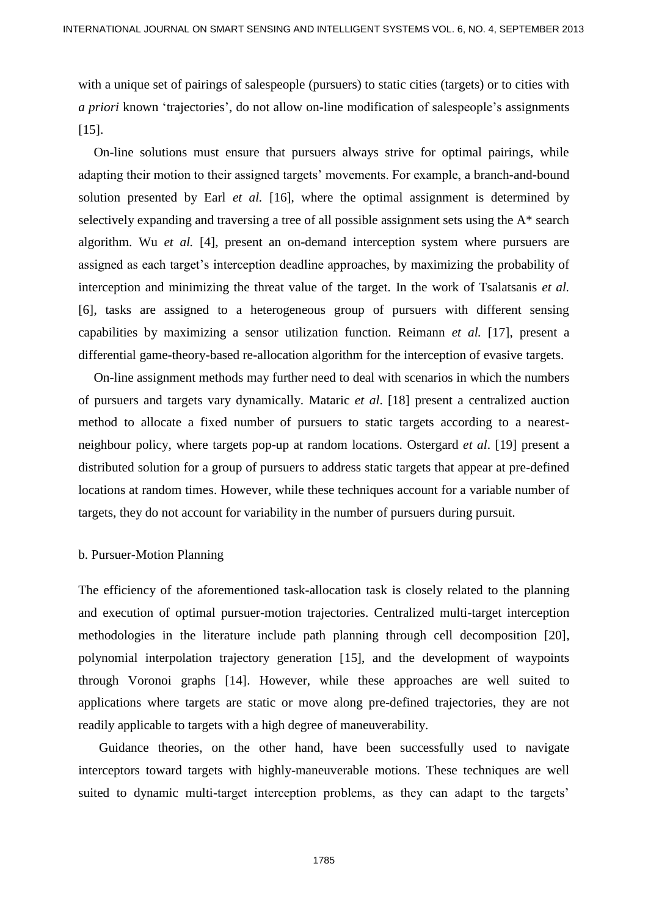with a unique set of pairings of salespeople (pursuers) to static cities (targets) or to cities with *a priori* known 'trajectories', do not allow on-line modification of salespeople's assignments [15].

On-line solutions must ensure that pursuers always strive for optimal pairings, while adapting their motion to their assigned targets' movements. For example, a branch-and-bound solution presented by Earl *et al.* [16], where the optimal assignment is determined by selectively expanding and traversing a tree of all possible assignment sets using the A\* search algorithm. Wu *et al.* [4], present an on-demand interception system where pursuers are assigned as each target's interception deadline approaches, by maximizing the probability of interception and minimizing the threat value of the target. In the work of Tsalatsanis *et al.* [6], tasks are assigned to a heterogeneous group of pursuers with different sensing capabilities by maximizing a sensor utilization function. Reimann *et al.* [17], present a differential game-theory-based re-allocation algorithm for the interception of evasive targets.

On-line assignment methods may further need to deal with scenarios in which the numbers of pursuers and targets vary dynamically. Mataric *et al*. [18] present a centralized auction method to allocate a fixed number of pursuers to static targets according to a nearestneighbour policy, where targets pop-up at random locations. Ostergard *et al*. [19] present a distributed solution for a group of pursuers to address static targets that appear at pre-defined locations at random times. However, while these techniques account for a variable number of targets, they do not account for variability in the number of pursuers during pursuit.

### b. Pursuer-Motion Planning

The efficiency of the aforementioned task-allocation task is closely related to the planning and execution of optimal pursuer-motion trajectories. Centralized multi-target interception methodologies in the literature include path planning through cell decomposition [20], polynomial interpolation trajectory generation [15], and the development of waypoints through Voronoi graphs [14]. However, while these approaches are well suited to applications where targets are static or move along pre-defined trajectories, they are not readily applicable to targets with a high degree of maneuverability.

Guidance theories, on the other hand, have been successfully used to navigate interceptors toward targets with highly-maneuverable motions. These techniques are well suited to dynamic multi-target interception problems, as they can adapt to the targets'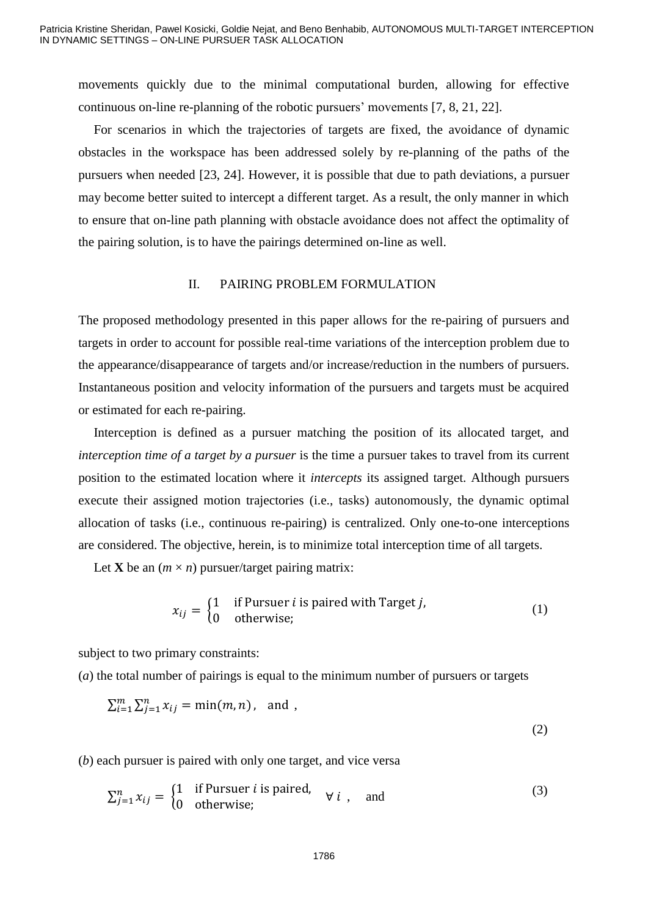movements quickly due to the minimal computational burden, allowing for effective continuous on-line re-planning of the robotic pursuers' movements [7, 8, 21, 22].

For scenarios in which the trajectories of targets are fixed, the avoidance of dynamic obstacles in the workspace has been addressed solely by re-planning of the paths of the pursuers when needed [23, 24]. However, it is possible that due to path deviations, a pursuer may become better suited to intercept a different target. As a result, the only manner in which to ensure that on-line path planning with obstacle avoidance does not affect the optimality of the pairing solution, is to have the pairings determined on-line as well.

#### II. PAIRING PROBLEM FORMULATION

The proposed methodology presented in this paper allows for the re-pairing of pursuers and targets in order to account for possible real-time variations of the interception problem due to the appearance/disappearance of targets and/or increase/reduction in the numbers of pursuers. Instantaneous position and velocity information of the pursuers and targets must be acquired or estimated for each re-pairing.

Interception is defined as a pursuer matching the position of its allocated target, and *interception time of a target by a pursuer* is the time a pursuer takes to travel from its current position to the estimated location where it *intercepts* its assigned target. Although pursuers execute their assigned motion trajectories (i.e., tasks) autonomously, the dynamic optimal allocation of tasks (i.e., continuous re-pairing) is centralized. Only one-to-one interceptions are considered. The objective, herein, is to minimize total interception time of all targets.

Let **X** be an  $(m \times n)$  pursuer/target pairing matrix:

$$
x_{ij} = \begin{cases} 1 & \text{if Pursuer } i \text{ is paired with Target } j, \\ 0 & \text{otherwise}; \end{cases}
$$
 (1)

subject to two primary constraints:

(*a*) the total number of pairings is equal to the minimum number of pursuers or targets

$$
\sum_{i=1}^{m} \sum_{j=1}^{n} x_{ij} = \min(m, n), \text{ and } ,
$$
 (2)

(*b*) each pursuer is paired with only one target, and vice versa

$$
\sum_{j=1}^{n} x_{ij} = \begin{cases} 1 & \text{if Pursuer } i \text{ is paired,} \\ 0 & \text{otherwise}; \end{cases} \forall i , \text{ and} \tag{3}
$$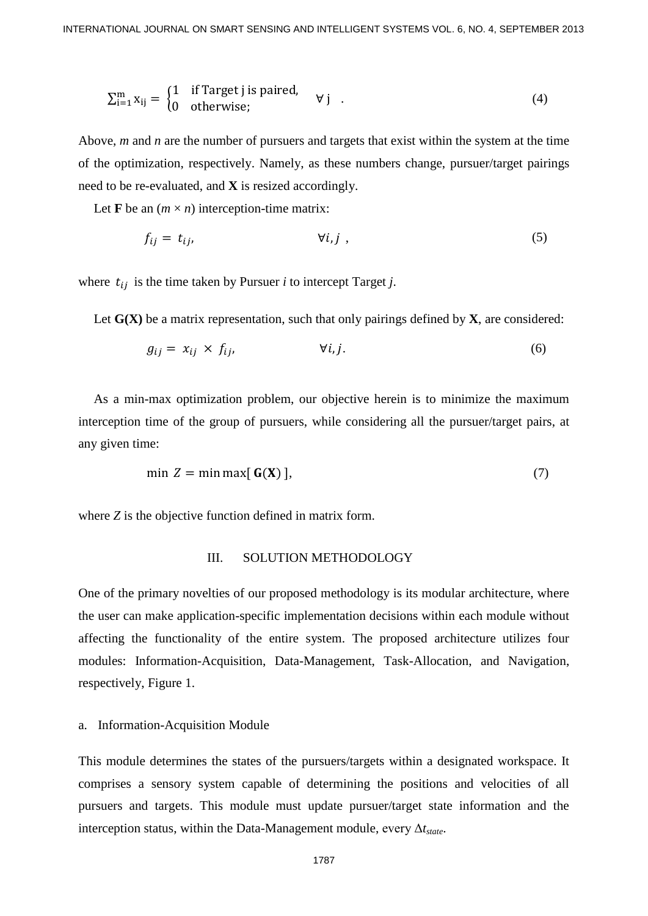$$
\sum_{i=1}^{m} x_{ij} = \begin{cases} 1 & \text{if Target j is paired,} \\ 0 & \text{otherwise;} \end{cases} \quad \forall j \quad . \tag{4}
$$

Above, *m* and *n* are the number of pursuers and targets that exist within the system at the time of the optimization, respectively. Namely, as these numbers change, pursuer/target pairings need to be re-evaluated, and **X** is resized accordingly.

Let **F** be an  $(m \times n)$  interception-time matrix:

$$
f_{ij} = t_{ij}, \qquad \forall i, j \tag{5}
$$

where  $t_{ij}$  is the time taken by Pursuer *i* to intercept Target *j*.

Let  $G(X)$  be a matrix representation, such that only pairings defined by  $X$ , are considered:

$$
g_{ij} = x_{ij} \times f_{ij}, \qquad \forall i, j. \tag{6}
$$

As a min-max optimization problem, our objective herein is to minimize the maximum interception time of the group of pursuers, while considering all the pursuer/target pairs, at any given time:

$$
\min Z = \min \max[\mathbf{G}(\mathbf{X})],\tag{7}
$$

where *Z* is the objective function defined in matrix form.

## III. SOLUTION METHODOLOGY

One of the primary novelties of our proposed methodology is its modular architecture, where the user can make application-specific implementation decisions within each module without affecting the functionality of the entire system. The proposed architecture utilizes four modules: Information-Acquisition, Data-Management, Task-Allocation, and Navigation, respectively, Figure 1.

#### a. Information-Acquisition Module

This module determines the states of the pursuers/targets within a designated workspace. It comprises a sensory system capable of determining the positions and velocities of all pursuers and targets. This module must update pursuer/target state information and the interception status, within the Data-Management module, every Δ*tstate*.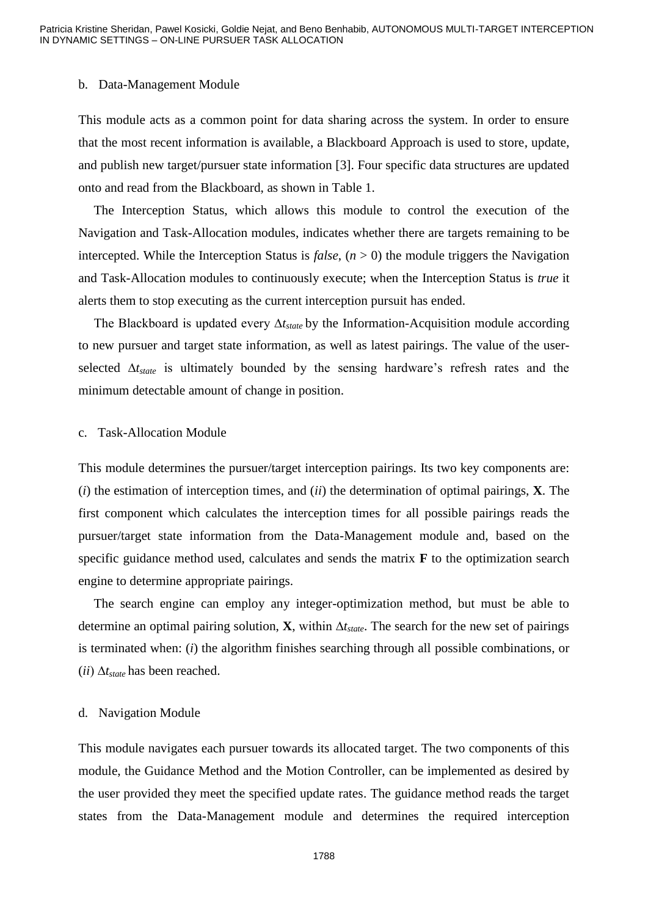#### b. Data-Management Module

This module acts as a common point for data sharing across the system. In order to ensure that the most recent information is available, a Blackboard Approach is used to store, update, and publish new target/pursuer state information [3]. Four specific data structures are updated onto and read from the Blackboard, as shown in Table 1.

The Interception Status, which allows this module to control the execution of the Navigation and Task-Allocation modules, indicates whether there are targets remaining to be intercepted. While the Interception Status is *false*,  $(n > 0)$  the module triggers the Navigation and Task-Allocation modules to continuously execute; when the Interception Status is *true* it alerts them to stop executing as the current interception pursuit has ended.

The Blackboard is updated every ∆*tstate* by the Information-Acquisition module according to new pursuer and target state information, as well as latest pairings. The value of the userselected ∆*tstate* is ultimately bounded by the sensing hardware's refresh rates and the minimum detectable amount of change in position.

#### c. Task-Allocation Module

This module determines the pursuer/target interception pairings. Its two key components are: (*i*) the estimation of interception times, and (*ii*) the determination of optimal pairings, **X**. The first component which calculates the interception times for all possible pairings reads the pursuer/target state information from the Data-Management module and, based on the specific guidance method used, calculates and sends the matrix **F** to the optimization search engine to determine appropriate pairings.

The search engine can employ any integer-optimization method, but must be able to determine an optimal pairing solution, **X**, within ∆*tstate*. The search for the new set of pairings is terminated when: (*i*) the algorithm finishes searching through all possible combinations, or (*ii*) ∆*tstate* has been reached.

## d. Navigation Module

This module navigates each pursuer towards its allocated target. The two components of this module, the Guidance Method and the Motion Controller, can be implemented as desired by the user provided they meet the specified update rates. The guidance method reads the target states from the Data-Management module and determines the required interception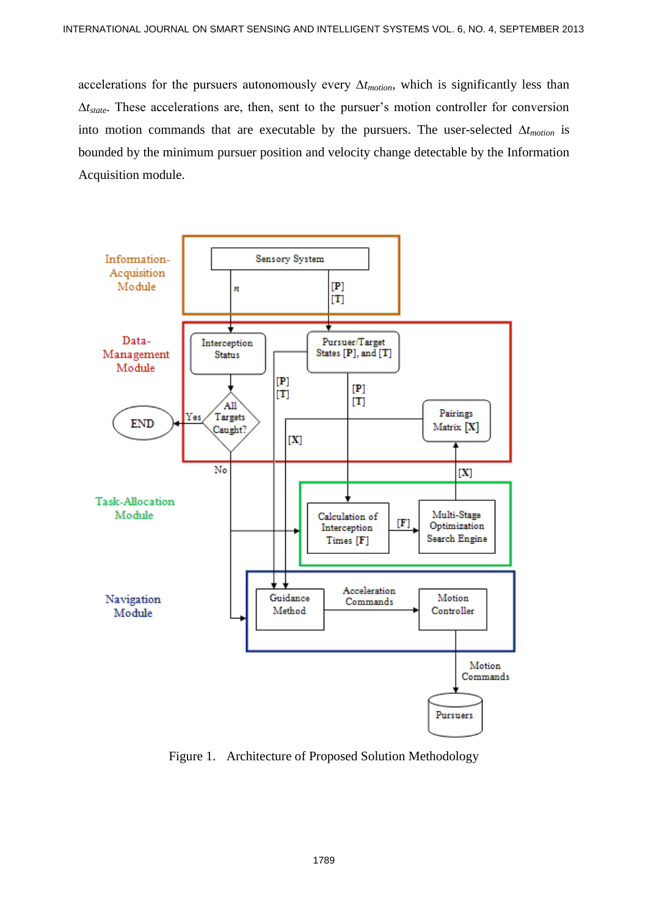accelerations for the pursuers autonomously every ∆*tmotion*, which is significantly less than ∆*tstate*. These accelerations are, then, sent to the pursuer's motion controller for conversion into motion commands that are executable by the pursuers. The user-selected ∆*tmotion* is bounded by the minimum pursuer position and velocity change detectable by the Information Acquisition module.



Figure 1. Architecture of Proposed Solution Methodology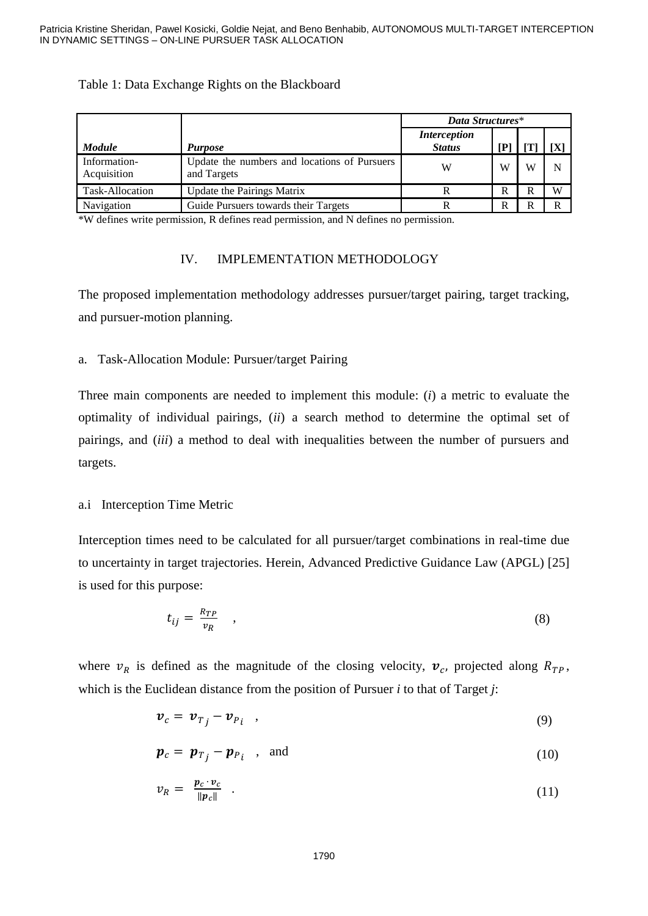# Table 1: Data Exchange Rights on the Blackboard

|                             |                                                             | Data Structures*                     |    |   |   |
|-----------------------------|-------------------------------------------------------------|--------------------------------------|----|---|---|
| <b>Module</b>               | <b>Purpose</b>                                              | <i>Interception</i><br><b>Status</b> | ſР |   |   |
| Information-<br>Acquisition | Update the numbers and locations of Pursuers<br>and Targets | W                                    | W  | W |   |
| Task-Allocation             | <b>Update the Pairings Matrix</b>                           |                                      | R  | R | W |
| Navigation                  | Guide Pursuers towards their Targets                        |                                      | R  | R |   |

\*W defines write permission, R defines read permission, and N defines no permission.

# IV. IMPLEMENTATION METHODOLOGY

The proposed implementation methodology addresses pursuer/target pairing, target tracking, and pursuer-motion planning.

# a. Task-Allocation Module: Pursuer/target Pairing

Three main components are needed to implement this module: (*i*) a metric to evaluate the optimality of individual pairings, (*ii*) a search method to determine the optimal set of pairings, and (*iii*) a method to deal with inequalities between the number of pursuers and targets.

# a.i Interception Time Metric

Interception times need to be calculated for all pursuer/target combinations in real-time due to uncertainty in target trajectories. Herein, Advanced Predictive Guidance Law (APGL) [25] is used for this purpose:

$$
t_{ij} = \frac{R_{TP}}{v_R} \quad , \tag{8}
$$

where  $v_R$  is defined as the magnitude of the closing velocity,  $v_c$ , projected along  $R_{TP}$ , which is the Euclidean distance from the position of Pursuer *i* to that of Target *j*:

$$
v_c = v_{Tj} - v_{Pi} \quad , \tag{9}
$$

$$
\boldsymbol{p}_c = \boldsymbol{p}_{T_j} - \boldsymbol{p}_{P_i} \quad , \quad \text{and} \tag{10}
$$

$$
v_R = \frac{p_c \cdot v_c}{\|p_c\|} \tag{11}
$$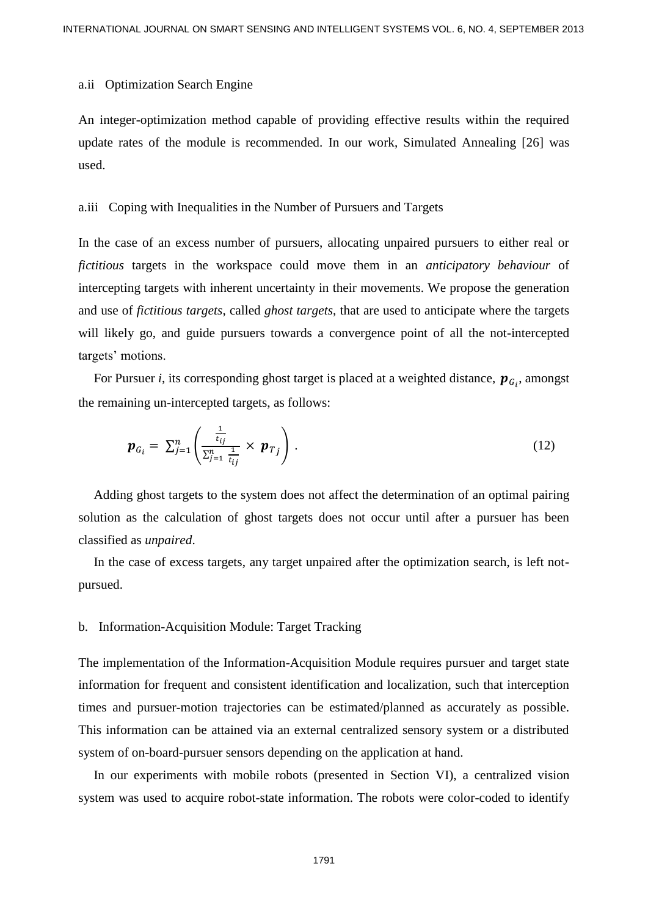#### a.ii Optimization Search Engine

An integer-optimization method capable of providing effective results within the required update rates of the module is recommended. In our work, Simulated Annealing [26] was used.

## a.iii Coping with Inequalities in the Number of Pursuers and Targets

In the case of an excess number of pursuers, allocating unpaired pursuers to either real or *fictitious* targets in the workspace could move them in an *anticipatory behaviour* of intercepting targets with inherent uncertainty in their movements. We propose the generation and use of *fictitious targets*, called *ghost targets*, that are used to anticipate where the targets will likely go, and guide pursuers towards a convergence point of all the not-intercepted targets' motions.

For Pursuer *i*, its corresponding ghost target is placed at a weighted distance,  $p_{G_i}$ , amongst the remaining un-intercepted targets, as follows:

$$
\boldsymbol{p}_{G_i} = \sum_{j=1}^n \left( \frac{\frac{1}{t_{ij}}}{\sum_{j=1}^n \frac{1}{t_{ij}}} \times \boldsymbol{p}_{T_j} \right).
$$
 (12)

Adding ghost targets to the system does not affect the determination of an optimal pairing solution as the calculation of ghost targets does not occur until after a pursuer has been classified as *unpaired*.

In the case of excess targets, any target unpaired after the optimization search, is left notpursued.

## b. Information-Acquisition Module: Target Tracking

The implementation of the Information-Acquisition Module requires pursuer and target state information for frequent and consistent identification and localization, such that interception times and pursuer-motion trajectories can be estimated/planned as accurately as possible. This information can be attained via an external centralized sensory system or a distributed system of on-board-pursuer sensors depending on the application at hand.

In our experiments with mobile robots (presented in Section VI), a centralized vision system was used to acquire robot-state information. The robots were color-coded to identify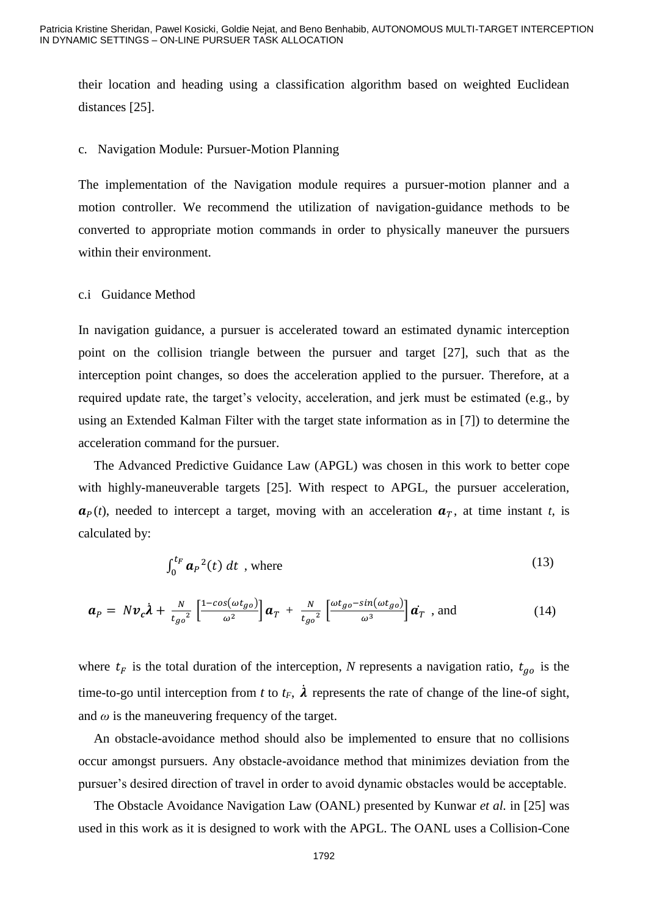their location and heading using a classification algorithm based on weighted Euclidean distances [25].

## c. Navigation Module: Pursuer-Motion Planning

The implementation of the Navigation module requires a pursuer-motion planner and a motion controller. We recommend the utilization of navigation-guidance methods to be converted to appropriate motion commands in order to physically maneuver the pursuers within their environment.

## c.i Guidance Method

In navigation guidance, a pursuer is accelerated toward an estimated dynamic interception point on the collision triangle between the pursuer and target [27], such that as the interception point changes, so does the acceleration applied to the pursuer. Therefore, at a required update rate, the target's velocity, acceleration, and jerk must be estimated (e.g., by using an Extended Kalman Filter with the target state information as in [7]) to determine the acceleration command for the pursuer.

The Advanced Predictive Guidance Law (APGL) was chosen in this work to better cope with highly-maneuverable targets [25]. With respect to APGL, the pursuer acceleration*,*  $\mathbf{a}_P(t)$ , needed to intercept a target, moving with an acceleration  $\mathbf{a}_T$ , at time instant *t*, is calculated by:

$$
\int_0^{t_F} \boldsymbol{a}_P^2(t) \, dt \text{ , where } \tag{13}
$$

$$
\boldsymbol{a}_P = N \boldsymbol{v}_c \boldsymbol{\lambda} + \frac{N}{t_{go}^2} \left[ \frac{1 - \cos(\omega t_{go})}{\omega^2} \right] \boldsymbol{a}_T + \frac{N}{t_{go}^2} \left[ \frac{\omega t_{go} - \sin(\omega t_{go})}{\omega^3} \right] \boldsymbol{a}_T
$$
, and (14)

where  $t_F$  is the total duration of the interception, N represents a navigation ratio,  $t_{g0}$  is the time-to-go until interception from *t* to  $t_F$ ,  $\lambda$  represents the rate of change of the line-of sight, and  $\omega$  is the maneuvering frequency of the target.

An obstacle-avoidance method should also be implemented to ensure that no collisions occur amongst pursuers. Any obstacle-avoidance method that minimizes deviation from the pursuer's desired direction of travel in order to avoid dynamic obstacles would be acceptable.

The Obstacle Avoidance Navigation Law (OANL) presented by Kunwar *et al.* in [25] was used in this work as it is designed to work with the APGL. The OANL uses a Collision-Cone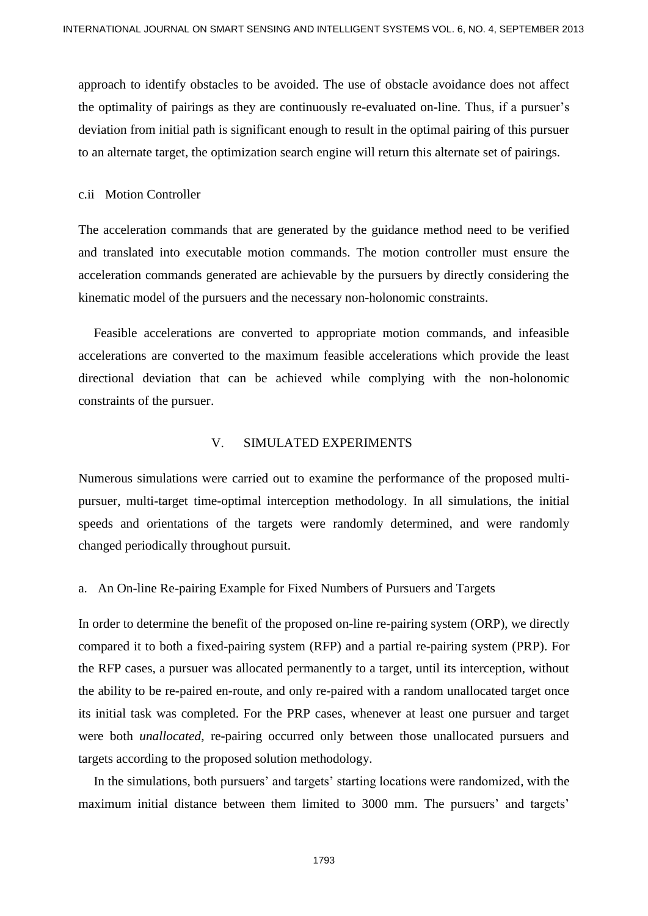approach to identify obstacles to be avoided. The use of obstacle avoidance does not affect the optimality of pairings as they are continuously re-evaluated on-line. Thus, if a pursuer's deviation from initial path is significant enough to result in the optimal pairing of this pursuer to an alternate target, the optimization search engine will return this alternate set of pairings.

#### c.ii Motion Controller

The acceleration commands that are generated by the guidance method need to be verified and translated into executable motion commands. The motion controller must ensure the acceleration commands generated are achievable by the pursuers by directly considering the kinematic model of the pursuers and the necessary non-holonomic constraints.

Feasible accelerations are converted to appropriate motion commands, and infeasible accelerations are converted to the maximum feasible accelerations which provide the least directional deviation that can be achieved while complying with the non-holonomic constraints of the pursuer.

## V. SIMULATED EXPERIMENTS

Numerous simulations were carried out to examine the performance of the proposed multipursuer, multi-target time-optimal interception methodology. In all simulations, the initial speeds and orientations of the targets were randomly determined, and were randomly changed periodically throughout pursuit.

a. An On-line Re-pairing Example for Fixed Numbers of Pursuers and Targets

In order to determine the benefit of the proposed on-line re-pairing system (ORP), we directly compared it to both a fixed-pairing system (RFP) and a partial re-pairing system (PRP). For the RFP cases, a pursuer was allocated permanently to a target, until its interception, without the ability to be re-paired en-route, and only re-paired with a random unallocated target once its initial task was completed. For the PRP cases, whenever at least one pursuer and target were both *unallocated*, re-pairing occurred only between those unallocated pursuers and targets according to the proposed solution methodology.

In the simulations, both pursuers' and targets' starting locations were randomized, with the maximum initial distance between them limited to 3000 mm. The pursuers' and targets'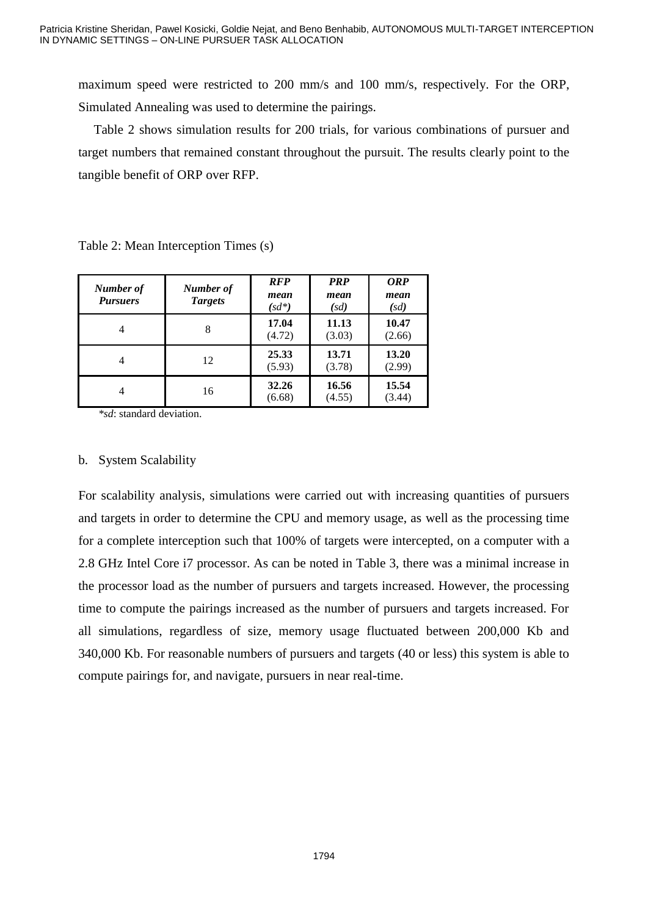maximum speed were restricted to 200 mm/s and 100 mm/s, respectively. For the ORP, Simulated Annealing was used to determine the pairings.

Table 2 shows simulation results for 200 trials, for various combinations of pursuer and target numbers that remained constant throughout the pursuit. The results clearly point to the tangible benefit of ORP over RFP.

| Number of<br><b>Pursuers</b> | Number of<br><b>Targets</b> | <b>RFP</b><br>mean<br>$(sd^*)$ | <b>PRP</b><br>mean<br>(sd) | <b>ORP</b><br>mean<br>(sd) |
|------------------------------|-----------------------------|--------------------------------|----------------------------|----------------------------|
|                              | 8                           | 17.04<br>(4.72)                | 11.13<br>(3.03)            | 10.47<br>(2.66)            |
| $\overline{4}$               | 12                          | 25.33<br>(5.93)                | 13.71<br>(3.78)            | 13.20<br>(2.99)            |
| 4                            | 16                          | 32.26<br>(6.68)                | 16.56<br>(4.55)            | 15.54<br>(3.44)            |

Table 2: Mean Interception Times (s)

 *\*sd*: standard deviation.

# b. System Scalability

For scalability analysis, simulations were carried out with increasing quantities of pursuers and targets in order to determine the CPU and memory usage, as well as the processing time for a complete interception such that 100% of targets were intercepted, on a computer with a 2.8 GHz Intel Core i7 processor. As can be noted in Table 3, there was a minimal increase in the processor load as the number of pursuers and targets increased. However, the processing time to compute the pairings increased as the number of pursuers and targets increased. For all simulations, regardless of size, memory usage fluctuated between 200,000 Kb and 340,000 Kb. For reasonable numbers of pursuers and targets (40 or less) this system is able to compute pairings for, and navigate, pursuers in near real-time.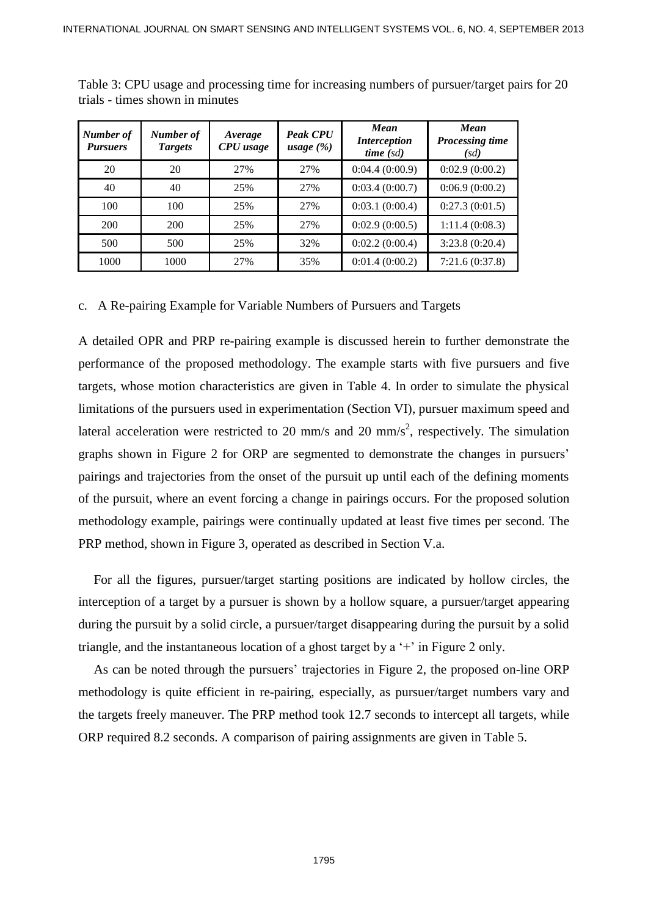| Number of<br><b>Pursuers</b> | Number of<br><b>Targets</b> | Average<br>CPU usage | <b>Peak CPU</b><br>usage $(\%)$ | <b>Mean</b><br><i>Interception</i><br>time(sd) | <b>Mean</b><br><b>Processing time</b><br>(sd) |
|------------------------------|-----------------------------|----------------------|---------------------------------|------------------------------------------------|-----------------------------------------------|
| 20                           | 20                          | 27%                  | 27%                             | 0:04.4(0:00.9)                                 | 0:02.9(0:00.2)                                |
| 40                           | 40                          | 25%                  | 27%                             | 0:03.4(0:00.7)                                 | 0:06.9(0:00.2)                                |
| 100                          | 100                         | 25%                  | 27%                             | 0:03.1(0:00.4)                                 | 0:27.3(0:01.5)                                |
| 200                          | 200                         | 25%                  | 27%                             | 0:02.9(0:00.5)                                 | 1:11.4(0:08.3)                                |
| 500                          | 500                         | 25%                  | 32%                             | 0:02.2(0:00.4)                                 | 3:23.8(0:20.4)                                |
| 1000                         | 1000                        | 27%                  | 35%                             | 0:01.4(0:00.2)                                 | 7:21.6(0:37.8)                                |

Table 3: CPU usage and processing time for increasing numbers of pursuer/target pairs for 20 trials - times shown in minutes

## c. A Re-pairing Example for Variable Numbers of Pursuers and Targets

A detailed OPR and PRP re-pairing example is discussed herein to further demonstrate the performance of the proposed methodology. The example starts with five pursuers and five targets, whose motion characteristics are given in Table 4. In order to simulate the physical limitations of the pursuers used in experimentation (Section VI), pursuer maximum speed and lateral acceleration were restricted to 20 mm/s and 20 mm/s<sup>2</sup>, respectively. The simulation graphs shown in Figure 2 for ORP are segmented to demonstrate the changes in pursuers' pairings and trajectories from the onset of the pursuit up until each of the defining moments of the pursuit, where an event forcing a change in pairings occurs. For the proposed solution methodology example, pairings were continually updated at least five times per second. The PRP method, shown in Figure 3, operated as described in Section V.a.

For all the figures, pursuer/target starting positions are indicated by hollow circles, the interception of a target by a pursuer is shown by a hollow square, a pursuer/target appearing during the pursuit by a solid circle, a pursuer/target disappearing during the pursuit by a solid triangle, and the instantaneous location of a ghost target by a '+' in Figure 2 only.

As can be noted through the pursuers' trajectories in Figure 2, the proposed on-line ORP methodology is quite efficient in re-pairing, especially, as pursuer/target numbers vary and the targets freely maneuver. The PRP method took 12.7 seconds to intercept all targets, while ORP required 8.2 seconds. A comparison of pairing assignments are given in Table 5.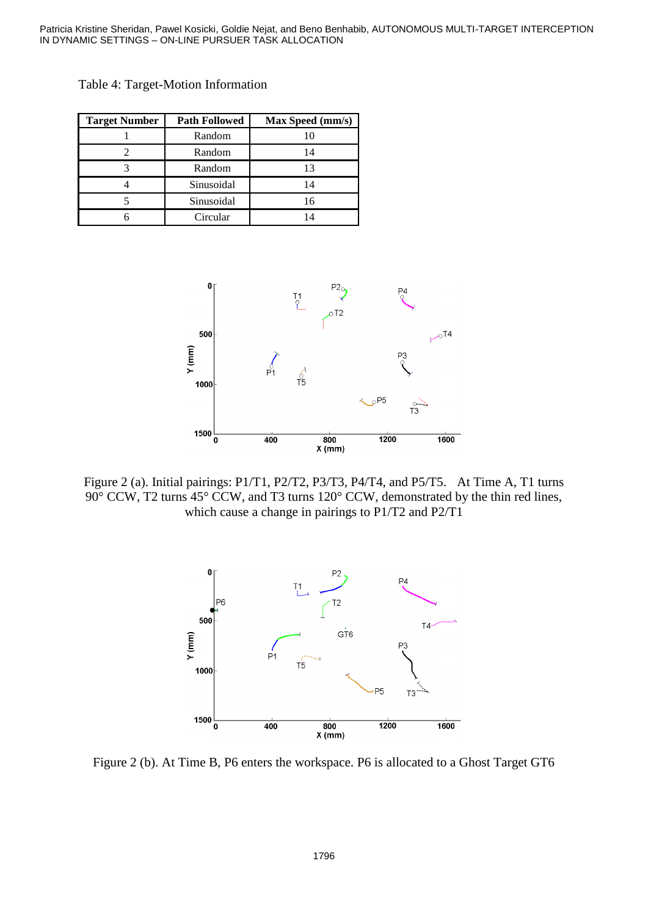| <b>Target Number</b> | <b>Path Followed</b> | <b>Max Speed (mm/s)</b> |
|----------------------|----------------------|-------------------------|
|                      | Random               |                         |
|                      | Random               |                         |
|                      | Random               |                         |
|                      | Sinusoidal           | 14                      |
|                      | Sinusoidal           | 16                      |
|                      | Circular             |                         |

Table 4: Target-Motion Information



Figure 2 (a). Initial pairings: P1/T1, P2/T2, P3/T3, P4/T4, and P5/T5. At Time A, T1 turns 90° CCW, T2 turns 45° CCW, and T3 turns 120° CCW, demonstrated by the thin red lines, which cause a change in pairings to P1/T2 and P2/T1



Figure 2 (b). At Time B, P6 enters the workspace. P6 is allocated to a Ghost Target GT6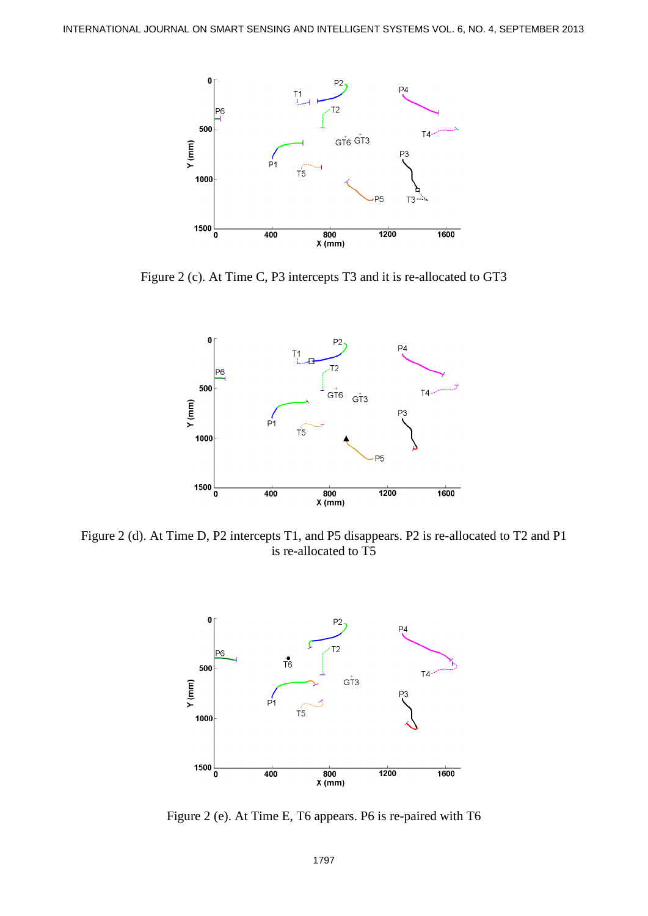

Figure 2 (c). At Time C, P3 intercepts T3 and it is re-allocated to GT3



Figure 2 (d). At Time D, P2 intercepts T1, and P5 disappears. P2 is re-allocated to T2 and P1 is re-allocated to T5



Figure 2 (e). At Time E, T6 appears. P6 is re-paired with T6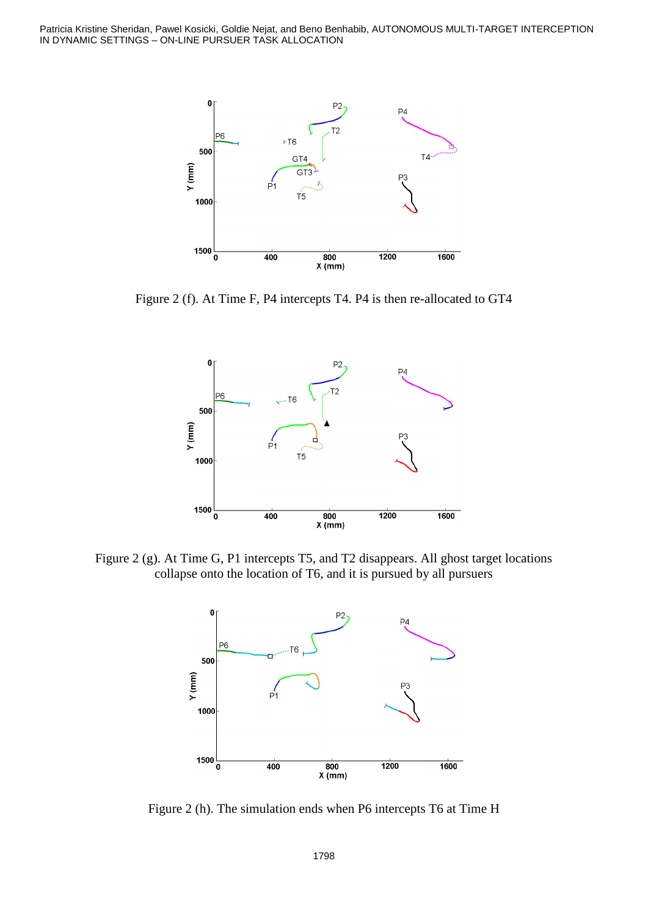Patricia Kristine Sheridan, Pawel Kosicki, Goldie Nejat, and Beno Benhabib, AUTONOMOUS MULTI-TARGET INTERCEPTION IN DYNAMIC SETTINGS – ON-LINE PURSUER TASK ALLOCATION



Figure 2 (f). At Time F, P4 intercepts T4. P4 is then re-allocated to GT4



Figure 2 (g). At Time G, P1 intercepts T5, and T2 disappears. All ghost target locations collapse onto the location of T6, and it is pursued by all pursuers



Figure 2 (h). The simulation ends when P6 intercepts T6 at Time H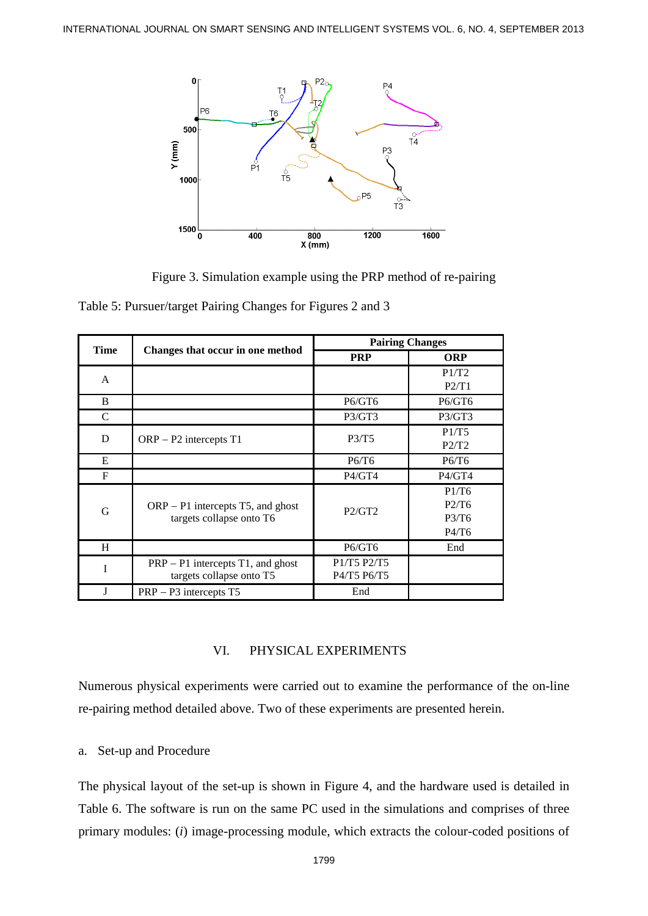

Figure 3. Simulation example using the PRP method of re-pairing

Table 5: Pursuer/target Pairing Changes for Figures 2 and 3

| <b>Time</b>  | Changes that occur in one method                                | <b>Pairing Changes</b>     |                                  |  |
|--------------|-----------------------------------------------------------------|----------------------------|----------------------------------|--|
|              |                                                                 | <b>PRP</b>                 | <b>ORP</b>                       |  |
| $\mathbf{A}$ |                                                                 |                            | P1/T2<br>P2/T1                   |  |
| B            |                                                                 | P6/GT6                     | P6/GT6                           |  |
| C            |                                                                 | P3/GT3                     | P3/GT3                           |  |
| D            | $ORP - P2$ intercepts T1                                        | P3/T5                      | P1/T5<br>P2/T2                   |  |
| E            |                                                                 | P6/T6                      | P6/T6                            |  |
| F            |                                                                 | P4/GT4                     | P4/GT4                           |  |
| G            | $ORP - P1$ intercepts T5, and ghost<br>targets collapse onto T6 | P2/GT2                     | P1/T6<br>P2/T6<br>P3/T6<br>P4/T6 |  |
| H            |                                                                 | P6/GT6                     | End                              |  |
| I            | $PRP - P1$ intercepts T1, and ghost<br>targets collapse onto T5 | P1/T5 P2/T5<br>P4/T5 P6/T5 |                                  |  |
| J            | $PRP - P3$ intercepts $T5$                                      | End                        |                                  |  |

## VI. PHYSICAL EXPERIMENTS

Numerous physical experiments were carried out to examine the performance of the on-line re-pairing method detailed above. Two of these experiments are presented herein.

## a. Set-up and Procedure

The physical layout of the set-up is shown in Figure 4, and the hardware used is detailed in Table 6. The software is run on the same PC used in the simulations and comprises of three primary modules: (*i*) image-processing module, which extracts the colour-coded positions of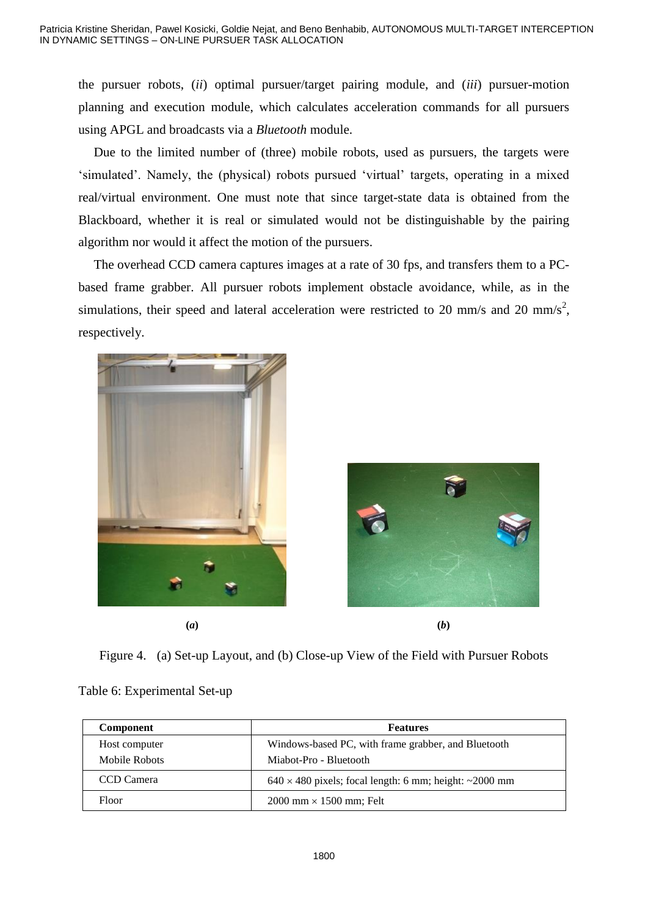the pursuer robots, (*ii*) optimal pursuer/target pairing module, and (*iii*) pursuer-motion planning and execution module, which calculates acceleration commands for all pursuers using APGL and broadcasts via a *Bluetooth* module.

Due to the limited number of (three) mobile robots, used as pursuers, the targets were 'simulated'. Namely, the (physical) robots pursued 'virtual' targets, operating in a mixed real/virtual environment. One must note that since target-state data is obtained from the Blackboard, whether it is real or simulated would not be distinguishable by the pairing algorithm nor would it affect the motion of the pursuers.

The overhead CCD camera captures images at a rate of 30 fps, and transfers them to a PCbased frame grabber. All pursuer robots implement obstacle avoidance, while, as in the simulations, their speed and lateral acceleration were restricted to 20 mm/s and 20 mm/s<sup>2</sup>, respectively.





Figure 4. (a) Set-up Layout, and (b) Close-up View of the Field with Pursuer Robots

# Table 6: Experimental Set-up

| Component     | <b>Features</b>                                               |
|---------------|---------------------------------------------------------------|
| Host computer | Windows-based PC, with frame grabber, and Bluetooth           |
| Mobile Robots | Miabot-Pro - Bluetooth                                        |
| CCD Camera    | $640 \times 480$ pixels; focal length: 6 mm; height: ~2000 mm |
| Floor         | $2000$ mm $\times$ 1500 mm; Felt                              |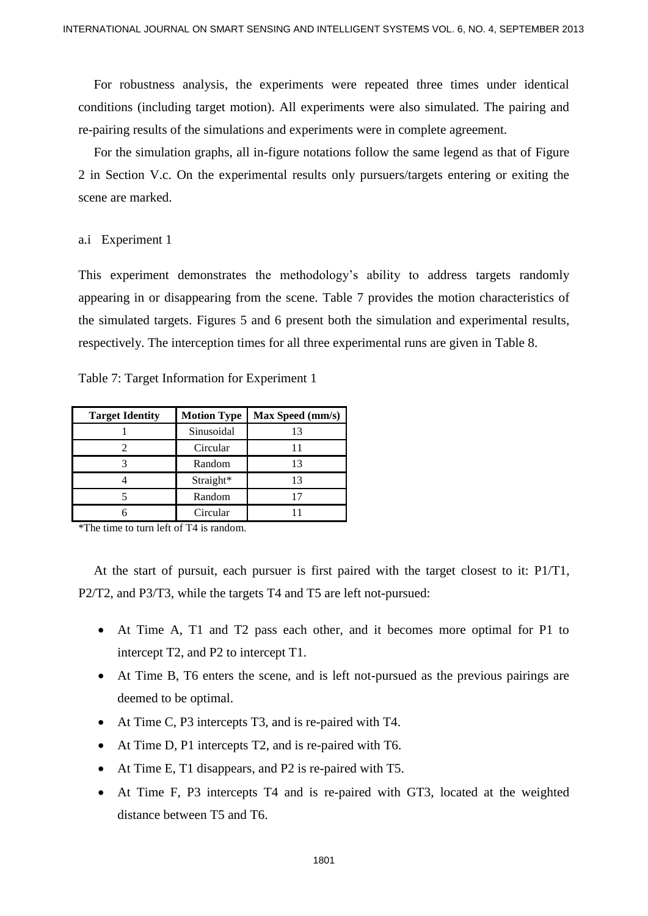For robustness analysis, the experiments were repeated three times under identical conditions (including target motion). All experiments were also simulated. The pairing and re-pairing results of the simulations and experiments were in complete agreement.

For the simulation graphs, all in-figure notations follow the same legend as that of Figure 2 in Section V.c. On the experimental results only pursuers/targets entering or exiting the scene are marked.

#### a.i Experiment 1

This experiment demonstrates the methodology's ability to address targets randomly appearing in or disappearing from the scene. Table 7 provides the motion characteristics of the simulated targets. Figures 5 and 6 present both the simulation and experimental results, respectively. The interception times for all three experimental runs are given in Table 8.

Table 7: Target Information for Experiment 1

| <b>Target Identity</b> | <b>Motion Type</b> | Max Speed (mm/s) |
|------------------------|--------------------|------------------|
|                        | Sinusoidal         |                  |
|                        | Circular           |                  |
|                        | Random             | 13               |
|                        | Straight*          | 13               |
|                        | Random             |                  |
|                        | Circular           |                  |

\*The time to turn left of T4 is random.

At the start of pursuit, each pursuer is first paired with the target closest to it: P1/T1, P2/T2, and P3/T3, while the targets T4 and T5 are left not-pursued:

- At Time A, T1 and T2 pass each other, and it becomes more optimal for P1 to intercept T2, and P2 to intercept T1.
- At Time B, T6 enters the scene, and is left not-pursued as the previous pairings are deemed to be optimal.
- At Time C, P3 intercepts T3, and is re-paired with T4.
- At Time D, P1 intercepts T2, and is re-paired with T6.
- At Time E, T1 disappears, and P2 is re-paired with T5.
- At Time F, P3 intercepts T4 and is re-paired with GT3, located at the weighted distance between T5 and T6.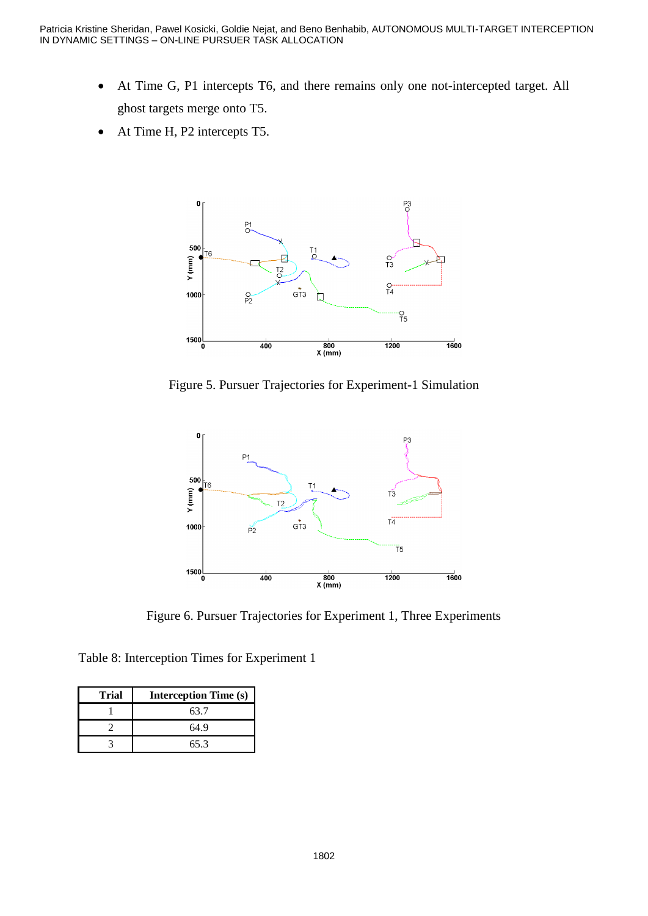- At Time G, P1 intercepts T6, and there remains only one not-intercepted target. All ghost targets merge onto T5.
- At Time H, P2 intercepts T5.



Figure 5. Pursuer Trajectories for Experiment-1 Simulation



Figure 6. Pursuer Trajectories for Experiment 1, Three Experiments

Table 8: Interception Times for Experiment 1

| <b>Trial</b> | <b>Interception Time (s)</b> |  |
|--------------|------------------------------|--|
|              | 63.7                         |  |
|              | 64.9                         |  |
|              | 65.3                         |  |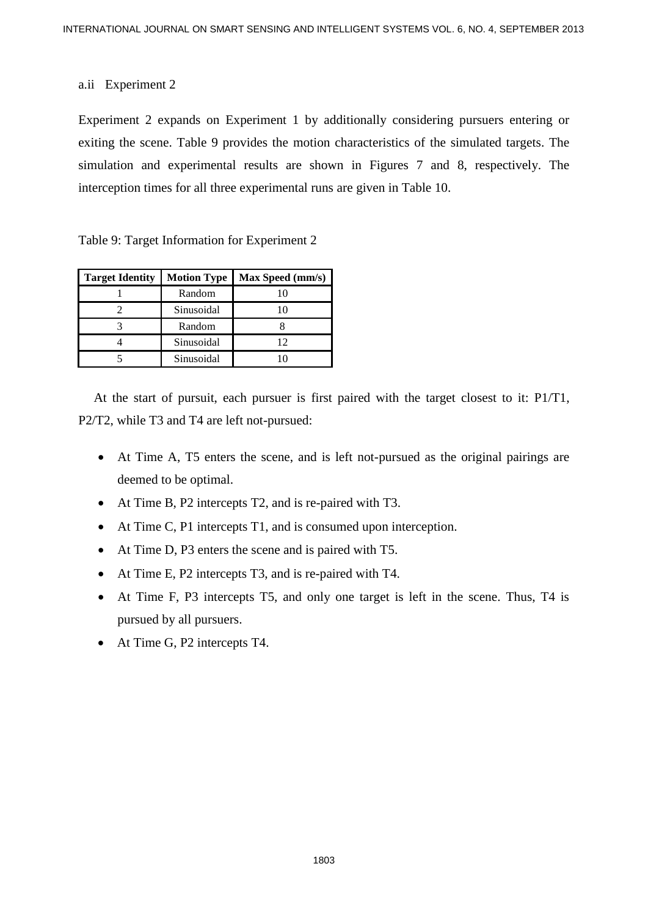## a.ii Experiment 2

Experiment 2 expands on Experiment 1 by additionally considering pursuers entering or exiting the scene. Table 9 provides the motion characteristics of the simulated targets. The simulation and experimental results are shown in Figures 7 and 8, respectively. The interception times for all three experimental runs are given in Table 10.

Table 9: Target Information for Experiment 2

| <b>Target Identity</b> | <b>Motion Type</b> | Max Speed (mm/s) |
|------------------------|--------------------|------------------|
|                        | Random             |                  |
|                        | Sinusoidal         |                  |
|                        | Random             |                  |
|                        | Sinusoidal         | 12               |
|                        | Sinusoidal         |                  |

At the start of pursuit, each pursuer is first paired with the target closest to it: P1/T1, P2/T2, while T3 and T4 are left not-pursued:

- At Time A, T5 enters the scene, and is left not-pursued as the original pairings are deemed to be optimal.
- At Time B, P2 intercepts T2, and is re-paired with T3.
- At Time C, P1 intercepts T1, and is consumed upon interception.
- At Time D, P3 enters the scene and is paired with T5.
- At Time E, P2 intercepts T3, and is re-paired with T4.
- At Time F, P3 intercepts T5, and only one target is left in the scene. Thus, T4 is pursued by all pursuers.
- At Time G, P2 intercepts T4.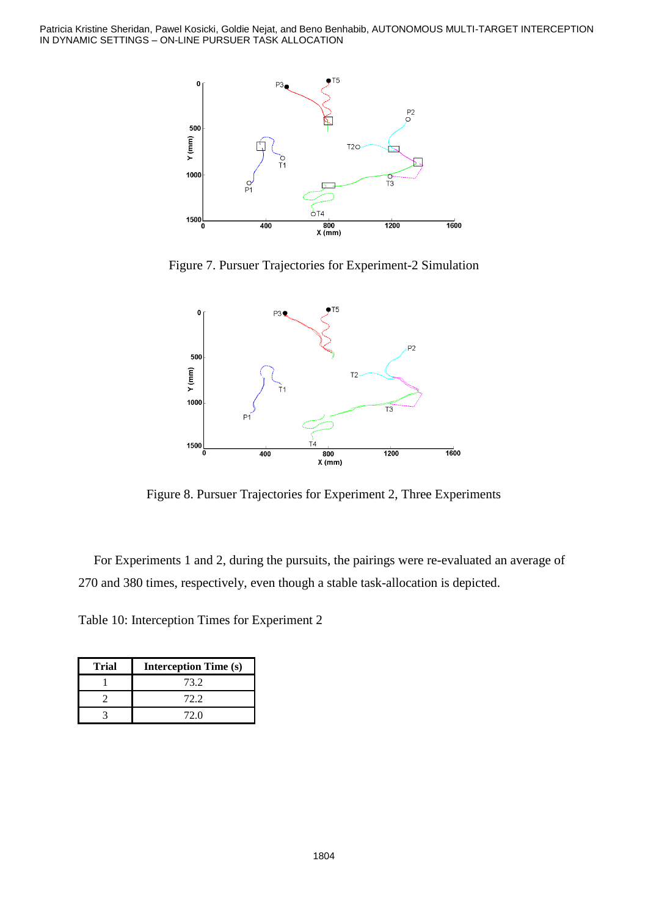Patricia Kristine Sheridan, Pawel Kosicki, Goldie Nejat, and Beno Benhabib, AUTONOMOUS MULTI-TARGET INTERCEPTION IN DYNAMIC SETTINGS – ON-LINE PURSUER TASK ALLOCATION



Figure 7. Pursuer Trajectories for Experiment-2 Simulation



Figure 8. Pursuer Trajectories for Experiment 2, Three Experiments

For Experiments 1 and 2, during the pursuits, the pairings were re-evaluated an average of 270 and 380 times, respectively, even though a stable task-allocation is depicted.

Table 10: Interception Times for Experiment 2

| <b>Trial</b> | <b>Interception Time (s)</b> |  |
|--------------|------------------------------|--|
|              | 73.2                         |  |
|              | 72.2                         |  |
|              | 72 O                         |  |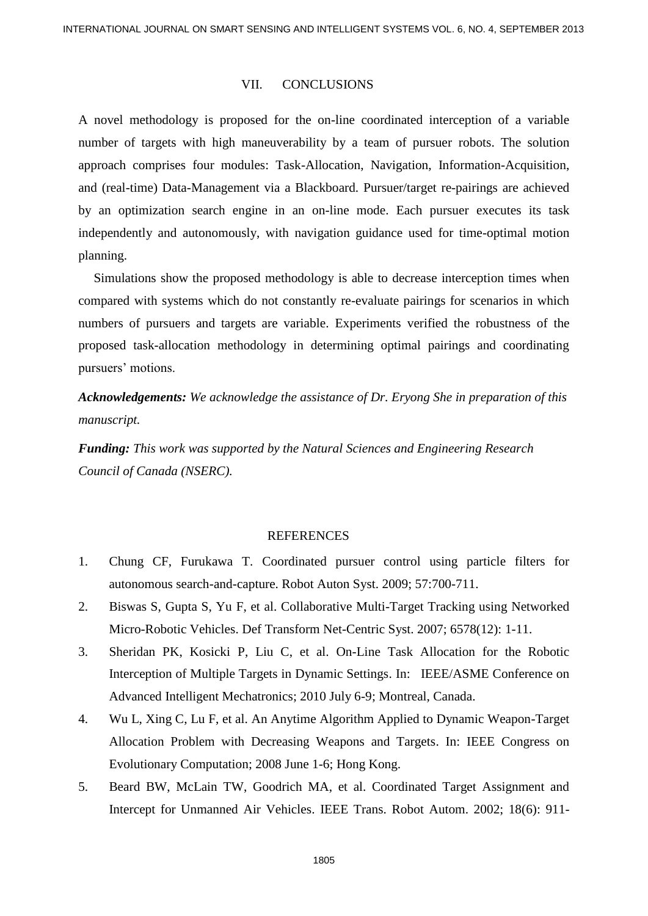#### VII. CONCLUSIONS

A novel methodology is proposed for the on-line coordinated interception of a variable number of targets with high maneuverability by a team of pursuer robots. The solution approach comprises four modules: Task-Allocation, Navigation, Information-Acquisition, and (real-time) Data-Management via a Blackboard. Pursuer/target re-pairings are achieved by an optimization search engine in an on-line mode. Each pursuer executes its task independently and autonomously, with navigation guidance used for time-optimal motion planning.

Simulations show the proposed methodology is able to decrease interception times when compared with systems which do not constantly re-evaluate pairings for scenarios in which numbers of pursuers and targets are variable. Experiments verified the robustness of the proposed task-allocation methodology in determining optimal pairings and coordinating pursuers' motions.

*Acknowledgements: We acknowledge the assistance of Dr. Eryong She in preparation of this manuscript.*

*Funding: This work was supported by the Natural Sciences and Engineering Research Council of Canada (NSERC).*

#### REFERENCES

- 1. Chung CF, Furukawa T. Coordinated pursuer control using particle filters for autonomous search-and-capture. Robot Auton Syst. 2009; 57:700-711.
- 2. Biswas S, Gupta S, Yu F, et al. Collaborative Multi-Target Tracking using Networked Micro-Robotic Vehicles. Def Transform Net-Centric Syst. 2007; 6578(12): 1-11.
- 3. Sheridan PK, Kosicki P, Liu C, et al. On-Line Task Allocation for the Robotic Interception of Multiple Targets in Dynamic Settings. In: IEEE/ASME Conference on Advanced Intelligent Mechatronics; 2010 July 6-9; Montreal, Canada.
- 4. Wu L, Xing C, Lu F, et al. An Anytime Algorithm Applied to Dynamic Weapon-Target Allocation Problem with Decreasing Weapons and Targets. In: IEEE Congress on Evolutionary Computation; 2008 June 1-6; Hong Kong.
- 5. Beard BW, McLain TW, Goodrich MA, et al. Coordinated Target Assignment and Intercept for Unmanned Air Vehicles. IEEE Trans. Robot Autom. 2002; 18(6): 911-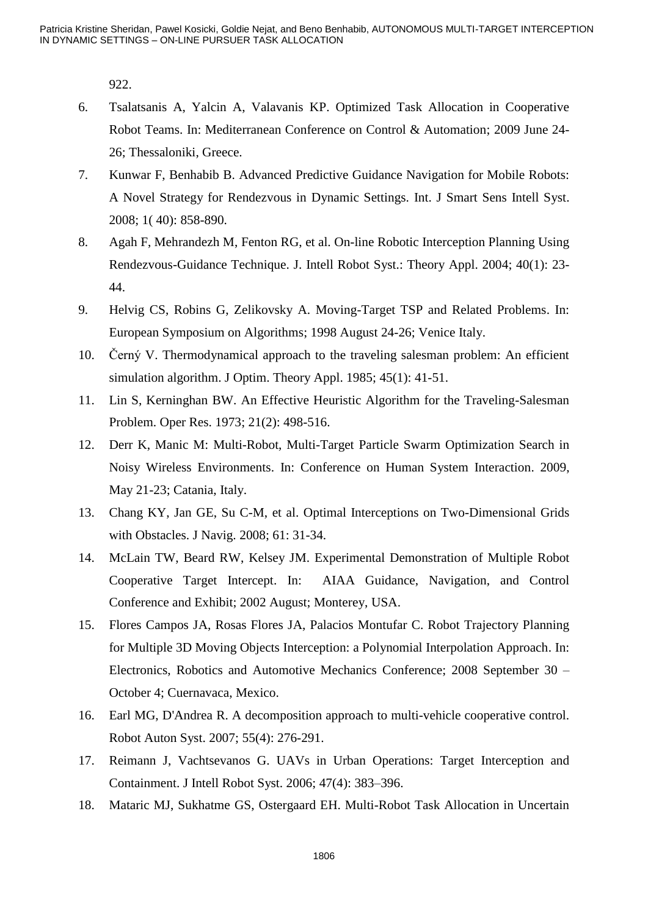922.

- 6. Tsalatsanis A, Yalcin A, Valavanis KP. Optimized Task Allocation in Cooperative Robot Teams. In: Mediterranean Conference on Control & Automation; 2009 June 24- 26; Thessaloniki, Greece.
- 7. Kunwar F, Benhabib B. Advanced Predictive Guidance Navigation for Mobile Robots: A Novel Strategy for Rendezvous in Dynamic Settings. Int. J Smart Sens Intell Syst. 2008; 1( 40): 858-890.
- 8. Agah F, Mehrandezh M, Fenton RG, et al. On-line Robotic Interception Planning Using Rendezvous-Guidance Technique. J. Intell Robot Syst.: Theory Appl. 2004; 40(1): 23- 44.
- 9. Helvig CS, Robins G, Zelikovsky A. Moving-Target TSP and Related Problems. In: European Symposium on Algorithms; 1998 August 24-26; Venice Italy.
- 10. Černý V. Thermodynamical approach to the traveling salesman problem: An efficient simulation algorithm. J Optim. Theory Appl. 1985; 45(1): 41-51.
- 11. Lin S, Kerninghan BW. An Effective Heuristic Algorithm for the Traveling-Salesman Problem. Oper Res. 1973; 21(2): 498-516.
- 12. Derr K, Manic M: Multi-Robot, Multi-Target Particle Swarm Optimization Search in Noisy Wireless Environments. In: Conference on Human System Interaction. 2009, May 21-23; Catania, Italy.
- 13. Chang KY, Jan GE, Su C-M, et al. Optimal Interceptions on Two-Dimensional Grids with Obstacles. J Navig. 2008; 61: 31-34.
- 14. McLain TW, Beard RW, Kelsey JM. Experimental Demonstration of Multiple Robot Cooperative Target Intercept. In: AIAA Guidance, Navigation, and Control Conference and Exhibit; 2002 August; Monterey, USA.
- 15. Flores Campos JA, Rosas Flores JA, Palacios Montufar C. Robot Trajectory Planning for Multiple 3D Moving Objects Interception: a Polynomial Interpolation Approach. In: Electronics, Robotics and Automotive Mechanics Conference; 2008 September 30 – October 4; Cuernavaca, Mexico.
- 16. Earl MG, D'Andrea R. A decomposition approach to multi-vehicle cooperative control. Robot Auton Syst. 2007; 55(4): 276-291.
- 17. Reimann J, Vachtsevanos G. UAVs in Urban Operations: Target Interception and Containment. J Intell Robot Syst. 2006; 47(4): 383–396.
- 18. Mataric MJ, Sukhatme GS, Ostergaard EH. Multi-Robot Task Allocation in Uncertain